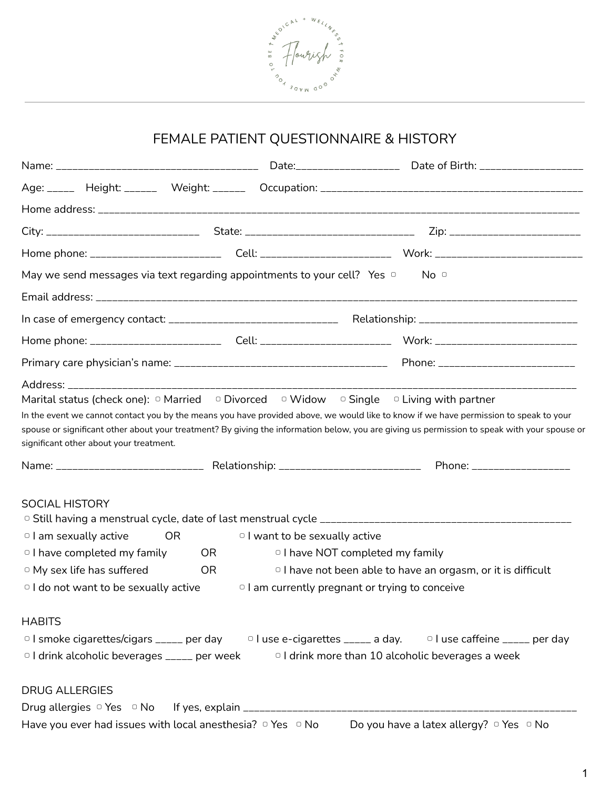

## Name: The Contract of Birth: The Contract of Birth:  $\Box$  Date:  $\Box$  Date of Birth:  $\Box$  Date of Birth:  $\Box$ Age: \_\_\_\_\_ Height: \_\_\_\_\_\_ Weight: \_\_\_\_\_\_ Occupation: \_\_\_\_\_\_\_\_\_\_\_\_\_\_\_\_\_\_\_\_\_\_\_\_\_\_\_\_\_\_\_\_\_\_\_\_\_\_\_\_\_\_\_\_\_\_\_\_ Home address: \_\_\_\_\_\_\_\_\_\_\_\_\_\_\_\_\_\_\_\_\_\_\_\_\_\_\_\_\_\_\_\_\_\_\_\_\_\_\_\_\_\_\_\_\_\_\_\_\_\_\_\_\_\_\_\_\_\_\_\_\_\_\_\_\_\_\_\_\_\_\_\_\_\_\_\_\_\_\_\_\_\_\_\_\_\_\_\_ City: \_\_\_\_\_\_\_\_\_\_\_\_\_\_\_\_\_\_\_\_\_\_\_\_\_\_\_\_ State: \_\_\_\_\_\_\_\_\_\_\_\_\_\_\_\_\_\_\_\_\_\_\_\_\_\_\_\_\_\_\_ Zip: \_\_\_\_\_\_\_\_\_\_\_\_\_\_\_\_\_\_\_\_\_\_\_\_ Home phone: \_\_\_\_\_\_\_\_\_\_\_\_\_\_\_\_\_\_\_\_\_\_\_\_\_\_\_\_\_\_\_ Cell: \_\_\_\_\_\_\_\_\_\_\_\_\_\_\_\_\_\_\_\_\_\_\_\_\_\_\_\_\_\_\_ Work: \_\_\_\_\_\_\_\_\_\_\_\_\_\_\_\_\_\_\_\_\_\_ May we send messages via text regarding appointments to your cell? Yes  $\circ$  No  $\circ$ Email address: \_\_\_\_\_\_\_\_\_\_\_\_\_\_\_\_\_\_\_\_\_\_\_\_\_\_\_\_\_\_\_\_\_\_\_\_\_\_\_\_\_\_\_\_\_\_\_\_\_\_\_\_\_\_\_\_\_\_\_\_\_\_\_\_\_\_\_\_\_\_\_\_\_\_\_\_\_\_\_\_\_\_\_\_\_\_\_\_ In case of emergency contact: \_\_\_\_\_\_\_\_\_\_\_\_\_\_\_\_\_\_\_\_\_\_\_\_\_\_\_\_\_\_\_ Relationship: \_\_\_\_\_\_\_\_\_\_\_\_\_\_\_\_\_\_\_\_\_\_\_\_\_\_\_\_\_ Home phone: \_\_\_\_\_\_\_\_\_\_\_\_\_\_\_\_\_\_\_\_\_\_\_\_ Cell: \_\_\_\_\_\_\_\_\_\_\_\_\_\_\_\_\_\_\_\_\_\_\_\_ Work: \_\_\_\_\_\_\_\_\_\_\_\_\_\_\_\_\_\_\_\_\_\_\_\_\_\_ Primary care physician's name: \_\_\_\_\_\_\_\_\_\_\_\_\_\_\_\_\_\_\_\_\_\_\_\_\_\_\_\_\_\_\_\_\_\_\_\_\_\_\_ Phone: \_\_\_\_\_\_\_\_\_\_\_\_\_\_\_\_\_\_\_\_\_\_\_\_\_ Address: \_\_\_\_\_\_\_\_\_\_\_\_\_\_\_\_\_\_\_\_\_\_\_\_\_\_\_\_\_\_\_\_\_\_\_\_\_\_\_\_\_\_\_\_\_\_\_\_\_\_\_\_\_\_\_\_\_\_\_\_\_\_\_\_\_\_\_\_\_\_\_\_\_\_\_\_\_\_\_\_\_\_\_\_\_\_\_\_\_\_\_\_\_ Marital status (check one):  $\circ$  Married  $\circ$  Divorced  $\circ$  Widow  $\circ$  Single  $\circ$  Living with partner In the event we cannot contact you by the means you have provided above, we would like to know if we have permission to speak to your spouse or significant other about your treatment? By giving the information below, you are giving us permission to speak with your spouse or significant other about your treatment. Name: \_\_\_\_\_\_\_\_\_\_\_\_\_\_\_\_\_\_\_\_\_\_\_\_\_\_\_ Relationship: \_\_\_\_\_\_\_\_\_\_\_\_\_\_\_\_\_\_\_\_\_\_\_\_\_\_ Phone: \_\_\_\_\_\_\_\_\_\_\_\_\_\_\_\_\_\_

## FEMALE PATIENT QUESTIONNAIRE & HISTORY

| SOCIAL HISTORY                                                                                                               |     |                                                                         |  |  |  |  |  |
|------------------------------------------------------------------------------------------------------------------------------|-----|-------------------------------------------------------------------------|--|--|--|--|--|
|                                                                                                                              |     |                                                                         |  |  |  |  |  |
| $\circ$ I am sexually active $\qquad$ OR                                                                                     |     | $\circ$ I want to be sexually active                                    |  |  |  |  |  |
| $\circ$ I have completed my family                                                                                           | OR. | $\circ$ I have NOT completed my family                                  |  |  |  |  |  |
| $\circ$ My sex life has suffered                                                                                             | OR  | <sup>o</sup> I have not been able to have an orgasm, or it is difficult |  |  |  |  |  |
| $\Box$ I do not want to be sexually active $\Box$ I am currently pregnant or trying to conceive                              |     |                                                                         |  |  |  |  |  |
|                                                                                                                              |     |                                                                         |  |  |  |  |  |
| <b>HABITS</b>                                                                                                                |     |                                                                         |  |  |  |  |  |
| $\circ$ I smoke cigarettes/cigars _____ per day $\circ$ I use e-cigarettes _____ a day. $\circ$ I use caffeine _____ per day |     |                                                                         |  |  |  |  |  |
| $\circ$ I drink alcoholic beverages $\frac{1}{2}$ per week $\circ$ I drink more than 10 alcoholic beverages a week           |     |                                                                         |  |  |  |  |  |
|                                                                                                                              |     |                                                                         |  |  |  |  |  |
| <b>DRUG ALLERGIES</b>                                                                                                        |     |                                                                         |  |  |  |  |  |
| Drug allergies □ Yes □ No If yes, explain ____________                                                                       |     |                                                                         |  |  |  |  |  |
| Have you ever had issues with local anesthesia? $\circ$ Yes $\circ$ No                                                       |     | Do you have a latex allergy? $\circ$ Yes $\circ$ No                     |  |  |  |  |  |